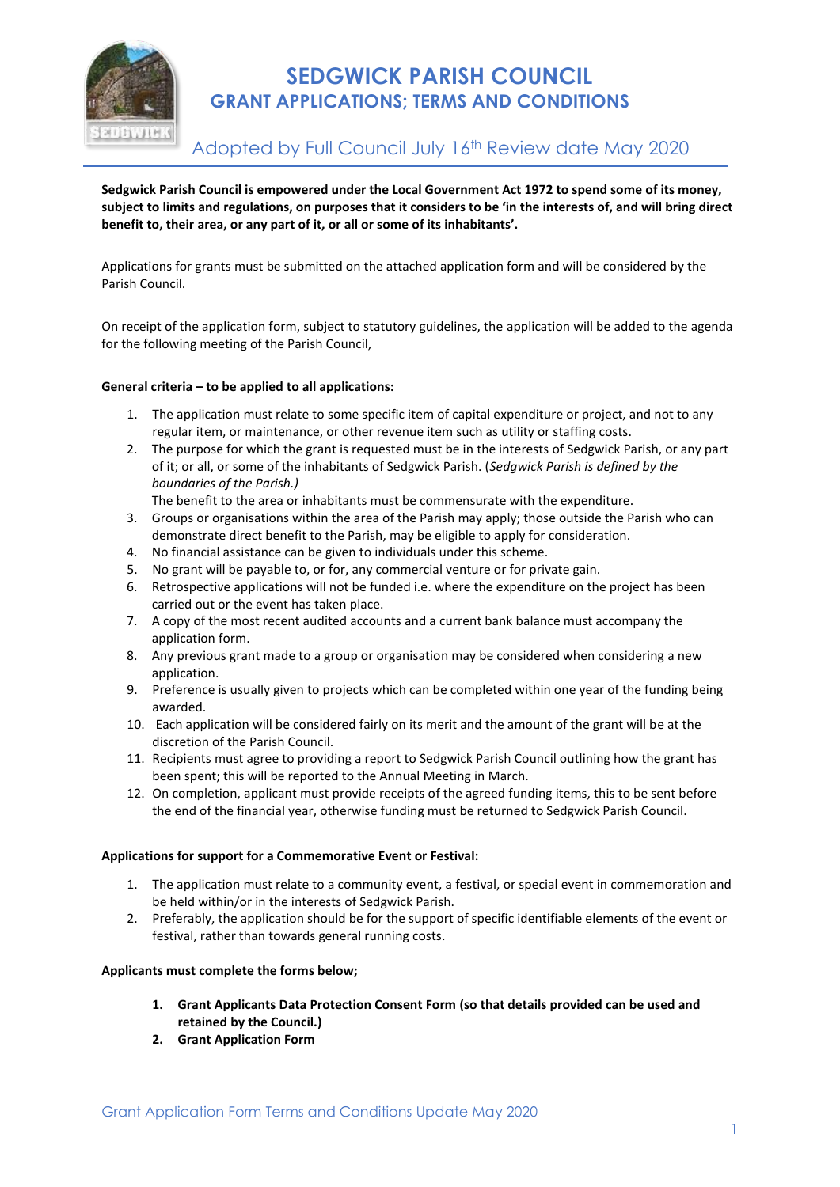

# **SEDGWICK PARISH COUNCIL GRANT APPLICATIONS; TERMS AND CONDITIONS**

Adopted by Full Council July 16<sup>th</sup> Review date May 2020

**Sedgwick Parish Council is empowered under the Local Government Act 1972 to spend some of its money, subject to limits and regulations, on purposes that it considers to be 'in the interests of, and will bring direct benefit to, their area, or any part of it, or all or some of its inhabitants'.**

Applications for grants must be submitted on the attached application form and will be considered by the Parish Council.

On receipt of the application form, subject to statutory guidelines, the application will be added to the agenda for the following meeting of the Parish Council,

### **General criteria – to be applied to all applications:**

- 1. The application must relate to some specific item of capital expenditure or project, and not to any regular item, or maintenance, or other revenue item such as utility or staffing costs.
- 2. The purpose for which the grant is requested must be in the interests of Sedgwick Parish, or any part of it; or all, or some of the inhabitants of Sedgwick Parish. (*Sedgwick Parish is defined by the boundaries of the Parish.)*

The benefit to the area or inhabitants must be commensurate with the expenditure.

- 3. Groups or organisations within the area of the Parish may apply; those outside the Parish who can demonstrate direct benefit to the Parish, may be eligible to apply for consideration.
- 4. No financial assistance can be given to individuals under this scheme.
- 5. No grant will be payable to, or for, any commercial venture or for private gain.
- 6. Retrospective applications will not be funded i.e. where the expenditure on the project has been carried out or the event has taken place.
- 7. A copy of the most recent audited accounts and a current bank balance must accompany the application form.
- 8. Any previous grant made to a group or organisation may be considered when considering a new application.
- 9. Preference is usually given to projects which can be completed within one year of the funding being awarded.
- 10. Each application will be considered fairly on its merit and the amount of the grant will be at the discretion of the Parish Council.
- 11. Recipients must agree to providing a report to Sedgwick Parish Council outlining how the grant has been spent; this will be reported to the Annual Meeting in March.
- 12. On completion, applicant must provide receipts of the agreed funding items, this to be sent before the end of the financial year, otherwise funding must be returned to Sedgwick Parish Council.

### **Applications for support for a Commemorative Event or Festival:**

- 1. The application must relate to a community event, a festival, or special event in commemoration and be held within/or in the interests of Sedgwick Parish.
- 2. Preferably, the application should be for the support of specific identifiable elements of the event or festival, rather than towards general running costs.

### **Applicants must complete the forms below;**

- **1. Grant Applicants Data Protection Consent Form (so that details provided can be used and retained by the Council.)**
- **2. Grant Application Form**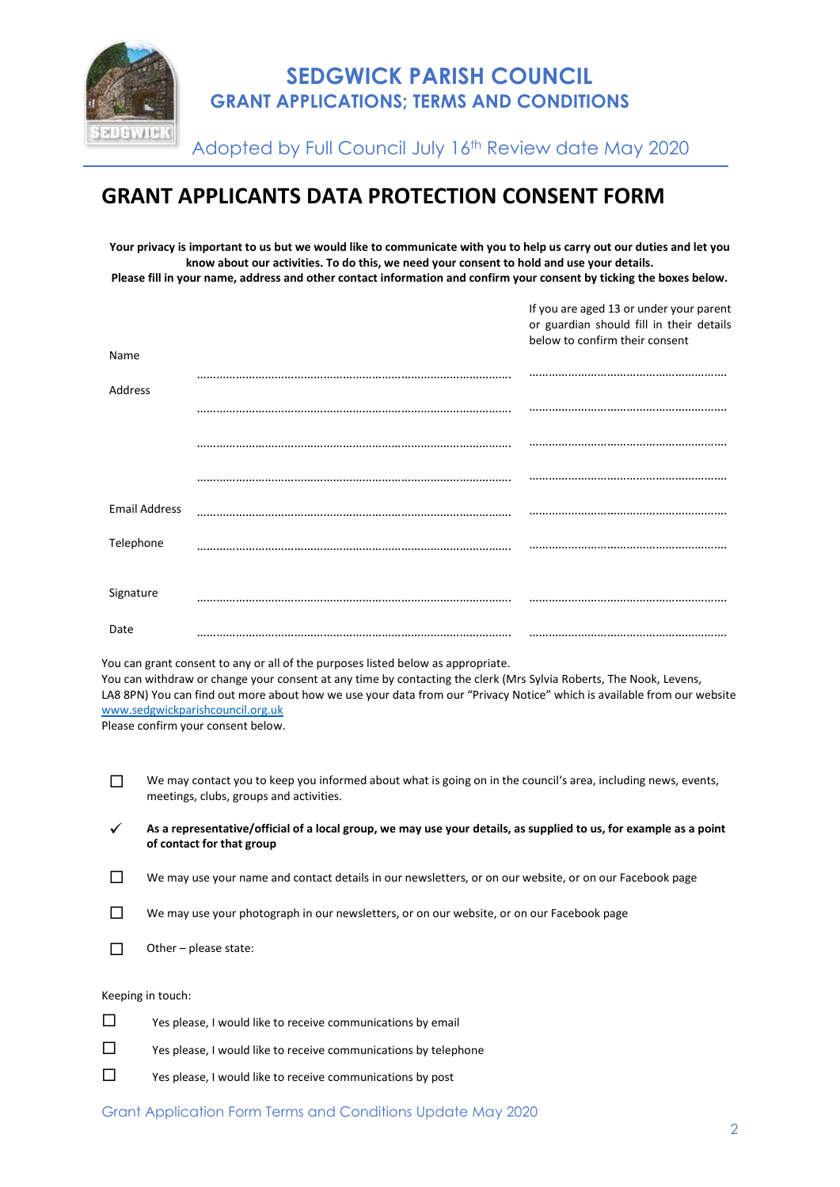

Adopted by Full Council July 16th Review date May 2020

# **GRANT APPLICANTS DATA PROTECTION CONSENT FORM**

**Your privacy is important to us but we would like to communicate with you to help us carry out our duties and let you know about our activities. To do this, we need your consent to hold and use your details. Please fill in your name, address and other contact information and confirm your consent by ticking the boxes below.**

If you are aged 13 or under your parent

| Name                 | or guardian should fill in their details<br>below to confirm their consent |
|----------------------|----------------------------------------------------------------------------|
| Address              |                                                                            |
|                      |                                                                            |
|                      |                                                                            |
|                      |                                                                            |
| <b>Email Address</b> |                                                                            |
| Telephone            |                                                                            |
| Signature            |                                                                            |
| Date                 |                                                                            |

You can grant consent to any or all of the purposes listed below as appropriate.

You can withdraw or change your consent at any time by contacting the clerk (Mrs Sylvia Roberts, The Nook, Levens, LA8 8PN) You can find out more about how we use your data from our "Privacy Notice" which is available from our website [www.sedgwickparishcouncil.org.uk](http://www.sedgwickparishcouncil.org.uk/)

Please confirm your consent below.

We may contact you to keep you informed about what is going on in the council's area, including news, events, meetings, clubs, groups and activities.

✓ **As a representative/official of a local group, we may use your details, as supplied to us, for example as a point of contact for that group**

- $\square$  We may use your name and contact details in our newsletters, or on our website, or on our Facebook page
- $\square$  We may use your photograph in our newsletters, or on our website, or on our Facebook page
- $\Box$  Other please state:

#### Keeping in touch:

 $\square$  Yes please, I would like to receive communications by email Yes please, I would like to receive communications by telephone  $\square$  Yes please, I would like to receive communications by post

Grant Application Form Terms and Conditions Update May 2020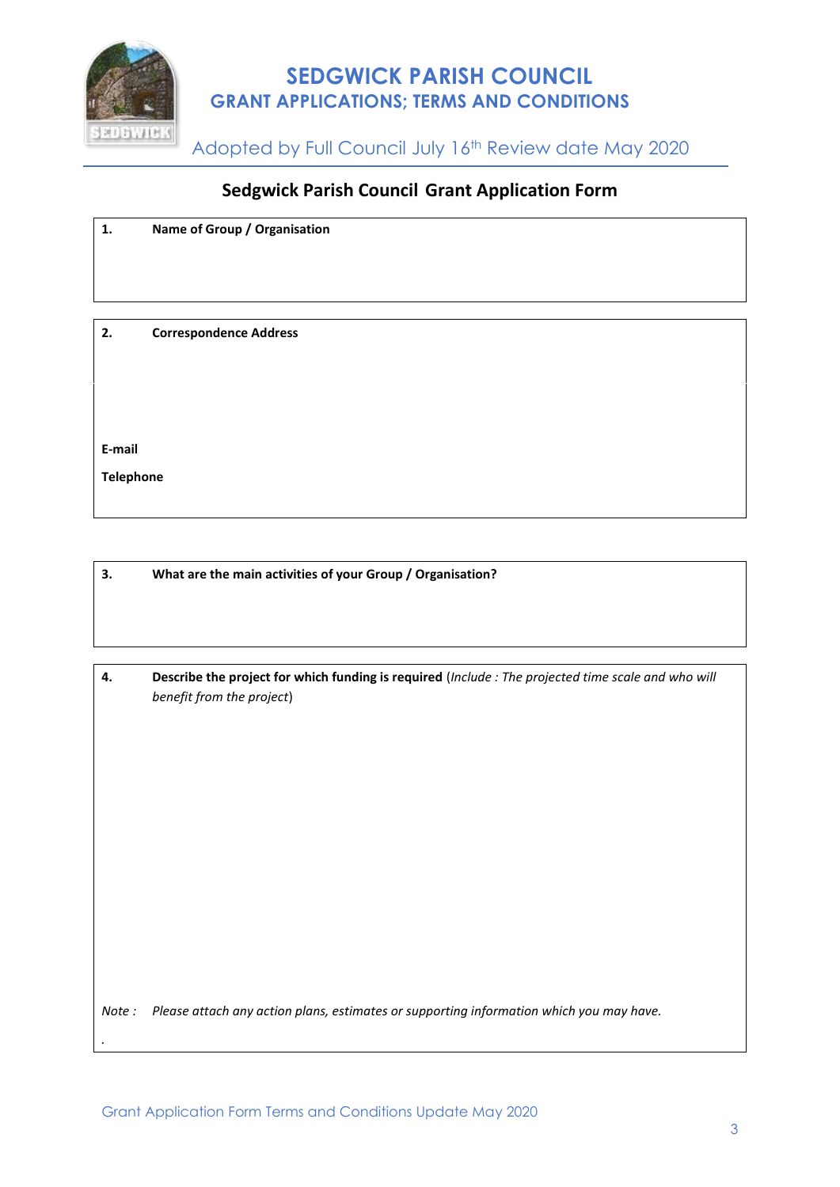

# **SEDGWICK PARISH COUNCIL GRANT APPLICATIONS; TERMS AND CONDITIONS**

**ADDWERE Adopted by Full Council July 16<sup>th</sup> Review date May 2020** 

### **Sedgwick Parish Council Grant Application Form**

| 1.  | Name of Group / Organisation  |
|-----|-------------------------------|
|     |                               |
|     |                               |
|     |                               |
| -2. | <b>Correspondence Address</b> |

**E-mail**

*.*

**Telephone**

**3. What are the main activities of your Group / Organisation?**

| Describe the project for which funding is required (Include: The projected time scale and who will |
|----------------------------------------------------------------------------------------------------|
| benefit from the project)                                                                          |

*Note : Please attach any action plans, estimates or supporting information which you may have.*